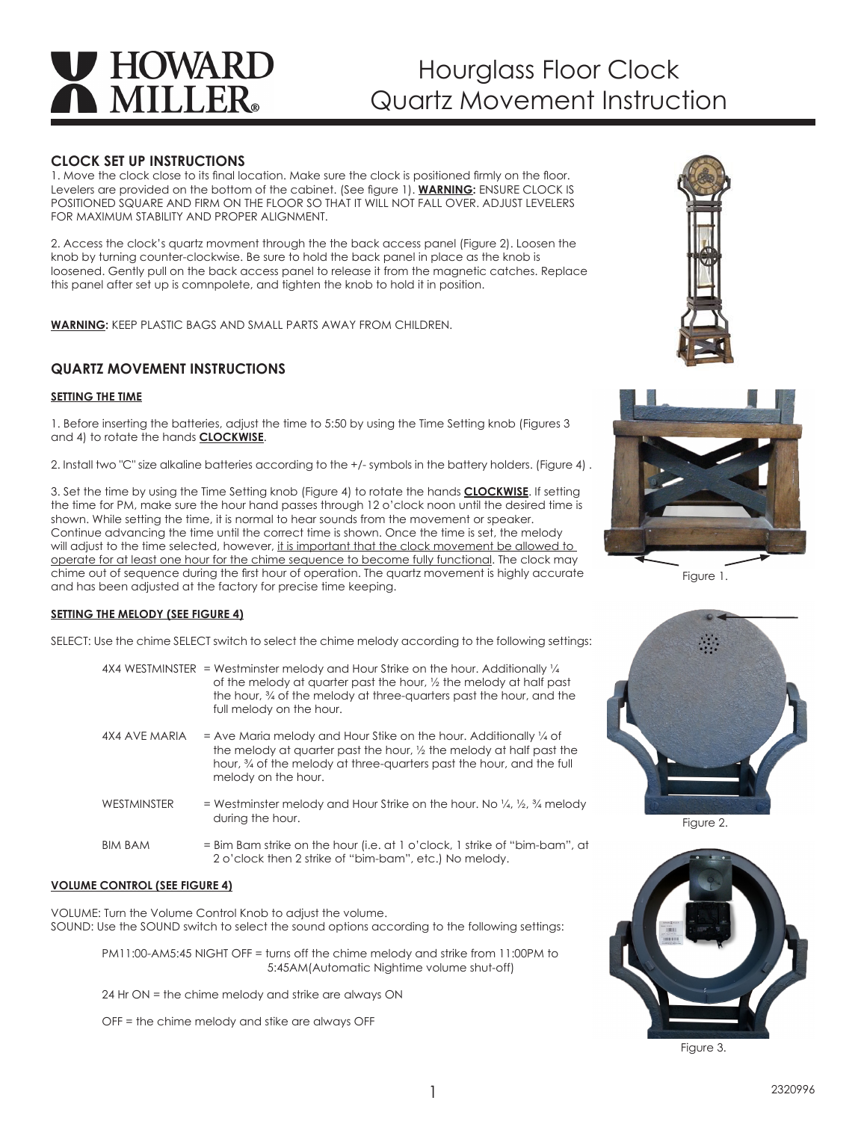# **HOWARD MILLER**

# Hourglass Floor Clock Quartz Movement Instruction

# **CLOCK SET UP INSTRUCTIONS**

1. Move the clock close to its final location. Make sure the clock is positioned firmly on the floor. Levelers are provided on the bottom of the cabinet. (See figure 1). **WARNING:** ENSURE CLOCK IS POSITIONED SQUARE AND FIRM ON THE FLOOR SO THAT IT WILL NOT FALL OVER. ADJUST LEVELERS FOR MAXIMUM STABILITY AND PROPER ALIGNMENT.

2. Access the clock's quartz movment through the the back access panel (Figure 2). Loosen the knob by turning counter-clockwise. Be sure to hold the back panel in place as the knob is loosened. Gently pull on the back access panel to release it from the magnetic catches. Replace this panel after set up is comnpolete, and tighten the knob to hold it in position.

**WARNING:** KEEP PLASTIC BAGS AND SMALL PARTS AWAY FROM CHILDREN.

# **QUARTZ MOVEMENT INSTRUCTIONS**

# **SETTING THE TIME**

1. Before inserting the batteries, adjust the time to 5:50 by using the Time Setting knob (Figures 3 and 4) to rotate the hands **CLOCKWISE**.

2. Install two "C" size alkaline batteries according to the +/- symbols in the battery holders. (Figure 4) .

3. Set the time by using the Time Setting knob (Figure 4) to rotate the hands **CLOCKWISE**. If setting the time for PM, make sure the hour hand passes through 12 o'clock noon until the desired time is shown. While setting the time, it is normal to hear sounds from the movement or speaker. Continue advancing the time until the correct time is shown. Once the time is set, the melody will adjust to the time selected, however, it is important that the clock movement be allowed to operate for at least one hour for the chime sequence to become fully functional. The clock may chime out of sequence during the first hour of operation. The quartz movement is highly accurate and has been adjusted at the factory for precise time keeping.

# **SETTING THE MELODY (SEE FIGURE 4)**

SELECT: Use the chime SELECT switch to select the chime melody according to the following settings:

|                    | $4X4$ WESTMINSTER = Westminster melody and Hour Strike on the hour. Additionally $\frac{1}{4}$<br>of the melody at quarter past the hour, 1/2 the melody at half past<br>the hour, % of the melody at three-quarters past the hour, and the<br>full melody on the hour. |
|--------------------|-------------------------------------------------------------------------------------------------------------------------------------------------------------------------------------------------------------------------------------------------------------------------|
| 4X4 AVE MARIA      | $=$ Ave Maria melody and Hour Stike on the hour. Additionally $\frac{1}{4}$ of<br>the melody at quarter past the hour, 1/2 the melody at half past the<br>hour, % of the melody at three-quarters past the hour, and the full<br>melody on the hour.                    |
| <b>WESTMINSTER</b> | = Westminster melody and Hour Strike on the hour. No $\frac{1}{4}$ , $\frac{1}{2}$ , $\frac{3}{4}$ melody<br>during the hour.                                                                                                                                           |
| <b>BIM BAM</b>     | $=$ Bim Bam strike on the hour (i.e. at 1 o'clock, 1 strike of "bim-bam", at<br>2 o'clock then 2 strike of "bim-bam", etc.) No melody.                                                                                                                                  |

# **VOLUME CONTROL (SEE FIGURE 4)**

VOLUME: Turn the Volume Control Knob to adjust the volume. SOUND: Use the SOUND switch to select the sound options according to the following settings:

PM11:00-AM5:45 NIGHT OFF = turns off the chime melody and strike from 11:00PM to 5:45AM(Automatic Nightime volume shut-off)

24 Hr ON = the chime melody and strike are always ON

OFF = the chime melody and stike are always OFF





Figure 1.



Figure 2.



Figure 3.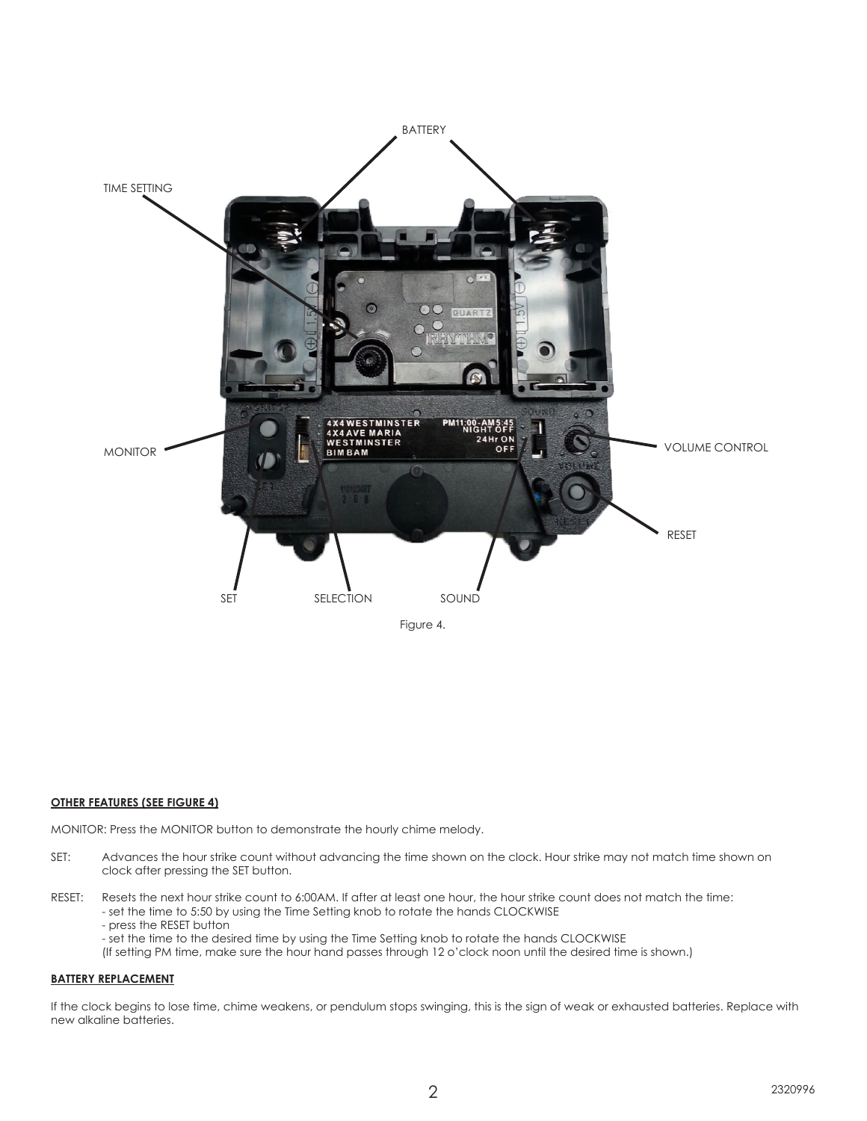

# **OTHER FEATURES (SEE FIGURE 4)**

MONITOR: Press the MONITOR button to demonstrate the hourly chime melody.

- SET: Advances the hour strike count without advancing the time shown on the clock. Hour strike may not match time shown on clock after pressing the SET button.
- RESET: Resets the next hour strike count to 6:00AM. If after at least one hour, the hour strike count does not match the time: - set the time to 5:50 by using the Time Setting knob to rotate the hands CLOCKWISE - press the RESET button - set the time to the desired time by using the Time Setting knob to rotate the hands CLOCKWISE

(If setting PM time, make sure the hour hand passes through 12 o'clock noon until the desired time is shown.)

#### **BATTERY REPLACEMENT**

If the clock begins to lose time, chime weakens, or pendulum stops swinging, this is the sign of weak or exhausted batteries. Replace with new alkaline batteries.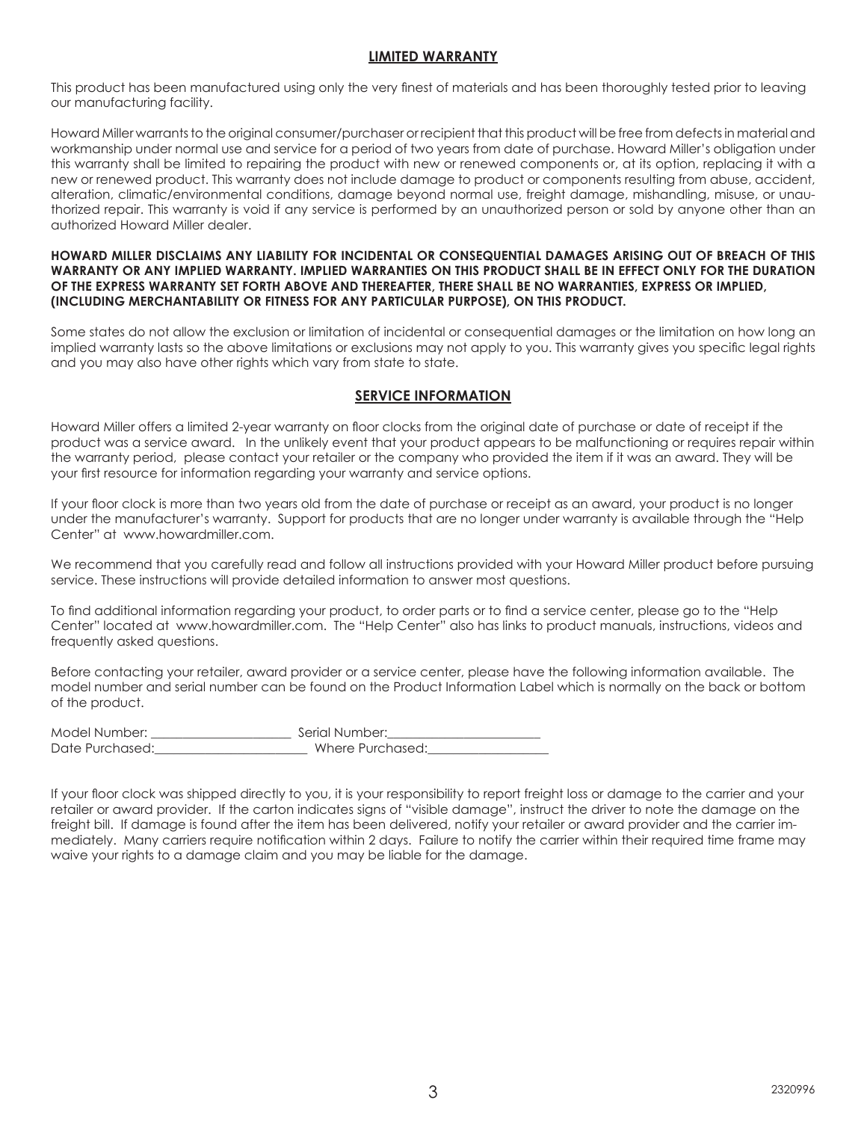# **LIMITED WARRANTY**

This product has been manufactured using only the very finest of materials and has been thoroughly tested prior to leaving our manufacturing facility.

Howard Miller warrants to the original consumer/purchaser or recipient that this product will be free from defects in material and workmanship under normal use and service for a period of two years from date of purchase. Howard Miller's obligation under this warranty shall be limited to repairing the product with new or renewed components or, at its option, replacing it with a new or renewed product. This warranty does not include damage to product or components resulting from abuse, accident, alteration, climatic/environmental conditions, damage beyond normal use, freight damage, mishandling, misuse, or unauthorized repair. This warranty is void if any service is performed by an unauthorized person or sold by anyone other than an authorized Howard Miller dealer.

# **HOWARD MILLER DISCLAIMS ANY LIABILITY FOR INCIDENTAL OR CONSEQUENTIAL DAMAGES ARISING OUT OF BREACH OF THIS WARRANTY OR ANY IMPLIED WARRANTY. IMPLIED WARRANTIES ON THIS PRODUCT SHALL BE IN EFFECT ONLY FOR THE DURATION OF THE EXPRESS WARRANTY SET FORTH ABOVE AND THEREAFTER, THERE SHALL BE NO WARRANTIES, EXPRESS OR IMPLIED, (INCLUDING MERCHANTABILITY OR FITNESS FOR ANY PARTICULAR PURPOSE), ON THIS PRODUCT.**

Some states do not allow the exclusion or limitation of incidental or consequential damages or the limitation on how long an implied warranty lasts so the above limitations or exclusions may not apply to you. This warranty gives you specific legal rights and you may also have other rights which vary from state to state.

# **SERVICE INFORMATION**

Howard Miller offers a limited 2-year warranty on floor clocks from the original date of purchase or date of receipt if the product was a service award. In the unlikely event that your product appears to be malfunctioning or requires repair within the warranty period, please contact your retailer or the company who provided the item if it was an award. They will be your first resource for information regarding your warranty and service options.

If your floor clock is more than two years old from the date of purchase or receipt as an award, your product is no longer under the manufacturer's warranty. Support for products that are no longer under warranty is available through the "Help Center" at www.howardmiller.com.

We recommend that you carefully read and follow all instructions provided with your Howard Miller product before pursuing service. These instructions will provide detailed information to answer most questions.

To find additional information regarding your product, to order parts or to find a service center, please go to the "Help Center" located at www.howardmiller.com. The "Help Center" also has links to product manuals, instructions, videos and frequently asked questions.

Before contacting your retailer, award provider or a service center, please have the following information available. The model number and serial number can be found on the Product Information Label which is normally on the back or bottom of the product.

| Model Number:   | Serial Number:   |
|-----------------|------------------|
| Date Purchased: | Where Purchased: |

If your floor clock was shipped directly to you, it is your responsibility to report freight loss or damage to the carrier and your retailer or award provider. If the carton indicates signs of "visible damage", instruct the driver to note the damage on the freight bill. If damage is found after the item has been delivered, notify your retailer or award provider and the carrier immediately. Many carriers require notification within 2 days. Failure to notify the carrier within their required time frame may waive your rights to a damage claim and you may be liable for the damage.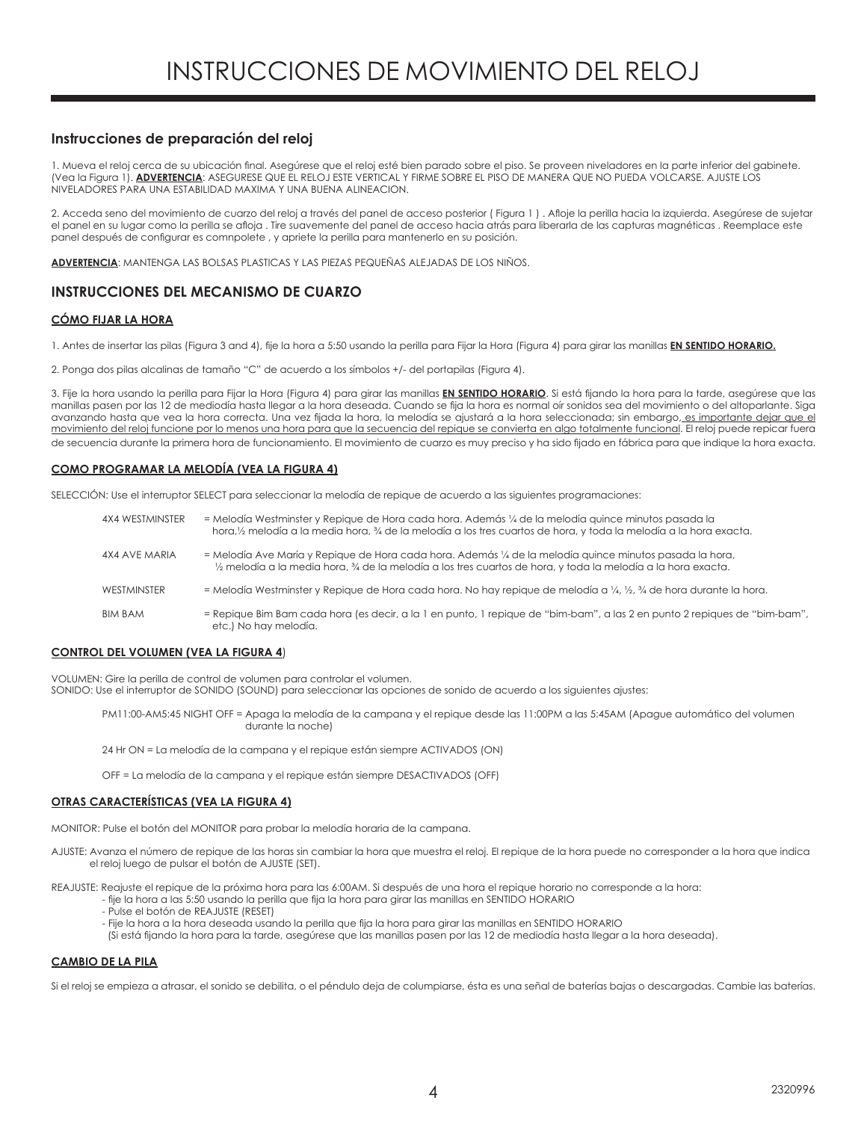# **Instrucciones de preparación del reloj**

1. Mueva el reloj cerca de su ubicación final. Asegúrese que el reloj esté bien parado sobre el piso. Se proveen niveladores en la parte inferior del gabinete. (Vea la Figura 1). **ADVERTENCIA**: ASEGURESE QUE EL RELOJ ESTE VERTICAL Y FIRME SOBRE EL PISO DE MANERA QUE NO PUEDA VOLCARSE. AJUSTE LOS NIVELADORES PARA UNA ESTABILIDAD MAXIMA Y UNA BUENA ALINEACION.

2. Acceda seno del movimiento de cuarzo del reloj a través del panel de acceso posterior ( Figura 1 ) . Afloje la perilla hacia la izquierda. Asegúrese de sujetar el panel en su lugar como la perilla se afloja . Tire suavemente del panel de acceso hacia atrás para liberarla de las capturas magnéticas . Reemplace este panel después de configurar es comnpolete , y apriete la perilla para mantenerlo en su posición.

**ADVERTENCIA**: MANTENGA LAS BOLSAS PLASTICAS Y LAS PIEZAS PEQUEÑAS ALEJADAS DE LOS NIÑOS.

# **INSTRUCCIONES DEL MECANISMO DE CUARZO**

# **CÓMO FIJAR LA HORA**

1. Antes de insertar las pilas (Figura 3 and 4), fije la hora a 5:50 usando la perilla para Fijar la Hora (Figura 4) para girar las manillas **EN SENTIDO HORARIO.**

2. Ponga dos pilas alcalinas de tamaño "C" de acuerdo a los símbolos +/- del portapilas (Figura 4).

3. Fije la hora usando la perilla para Fijar la Hora (Figura 4) para girar las manillas **EN SENTIDO HORARIO**. Si está fijando la hora para la tarde, asegúrese que las manillas pasen por las 12 de mediodía hasta llegar a la hora deseada. Cuando se fija la hora es normal oír sonidos sea del movimiento o del altoparlante. Siga avanzando hasta que vea la hora correcta. Una vez fijada la hora, la melodía se ajustará a la hora seleccionada; sin embargo, es importante dejar que el movimiento del reloj funcione por lo menos una hora para que la secuencia del repique se convierta en algo totalmente funcional. El reloj puede repicar fuera de secuencia durante la primera hora de funcionamiento. El movimiento de cuarzo es muy preciso y ha sido fijado en fábrica para que indique la hora exacta.

#### **COMO PROGRAMAR LA MELODÍA (VEA LA FIGURA 4)**

SELECCIÓN: Use el interruptor SELECT para seleccionar la melodía de repique de acuerdo a las siguientes programaciones:

| 4X4 WESTMINSTER | = Melodía Westminster y Repique de Hora cada hora. Además ¼ de la melodía quince minutos pasada la<br>hora, 1/2 melodía a la media hora, 3/4 de la melodía a los tres cuartos de hora, y toda la melodía a la hora exacta. |
|-----------------|----------------------------------------------------------------------------------------------------------------------------------------------------------------------------------------------------------------------------|
| 4X4 AVE MARIA   | = Melodía Ave María y Repique de Hora cada hora. Además ¼ de la melodía quince minutos pasada la hora,<br>1/2 melodía a la media hora, 3/4 de la melodía a los tres cuartos de hora, y toda la melodía a la hora exacta.   |
| WESTMINSTER     | = Melodía Westminster y Repique de Hora cada hora. No hay repique de melodía a 1/4, 1/2, 3/4 de hora durante la hora.                                                                                                      |
| <b>BIM BAM</b>  | = Repique Bim Bam cada hora (es decir, a la 1 en punto, 1 repique de "bim-bam", a las 2 en punto 2 repiques de "bim-bam",<br>etc.) No hay melodía.                                                                         |

#### **CONTROL DEL VOLUMEN (VEA LA FIGURA 4**)

VOLUMEN: Gire la perilla de control de volumen para controlar el volumen. SONIDO: Use el interruptor de SONIDO (SOUND) para seleccionar las opciones de sonido de acuerdo a los siguientes ajustes:

PM11:00-AM5:45 NIGHT OFF = Apaga la melodía de la campana y el repique desde las 11:00PM a las 5:45AM (Apague automático del volumen durante la noche)

24 Hr ON = La melodía de la campana y el repique están siempre ACTIVADOS (ON)

OFF = La melodía de la campana y el repique están siempre DESACTIVADOS (OFF)

#### **OTRAS CARACTERÍSTICAS (VEA LA FIGURA 4)**

MONITOR: Pulse el botón del MONITOR para probar la melodía horaria de la campana.

AJUSTE: Avanza el número de repique de las horas sin cambiar la hora que muestra el reloj. El repique de la hora puede no corresponder a la hora que indica el reloj luego de pulsar el botón de AJUSTE (SET).

REAJUSTE: Reajuste el repique de la próxima hora para las 6:00AM. Si después de una hora el repique horario no corresponde a la hora:

- fije la hora a las 5:50 usando la perilla que fija la hora para girar las manillas en SENTIDO HORARIO
	- Pulse el botón de REAJUSTE (RESET)
	- Fije la hora a la hora deseada usando la perilla que fija la hora para girar las manillas en SENTIDO HORARIO
	- (Si está fijando la hora para la tarde, asegúrese que las manillas pasen por las 12 de mediodía hasta llegar a la hora deseada).

# **CAMBIO DE LA PILA**

Si el reloj se empieza a atrasar, el sonido se debilita, o el péndulo deja de columpiarse, ésta es una señal de baterías bajas o descargadas. Cambie las baterías.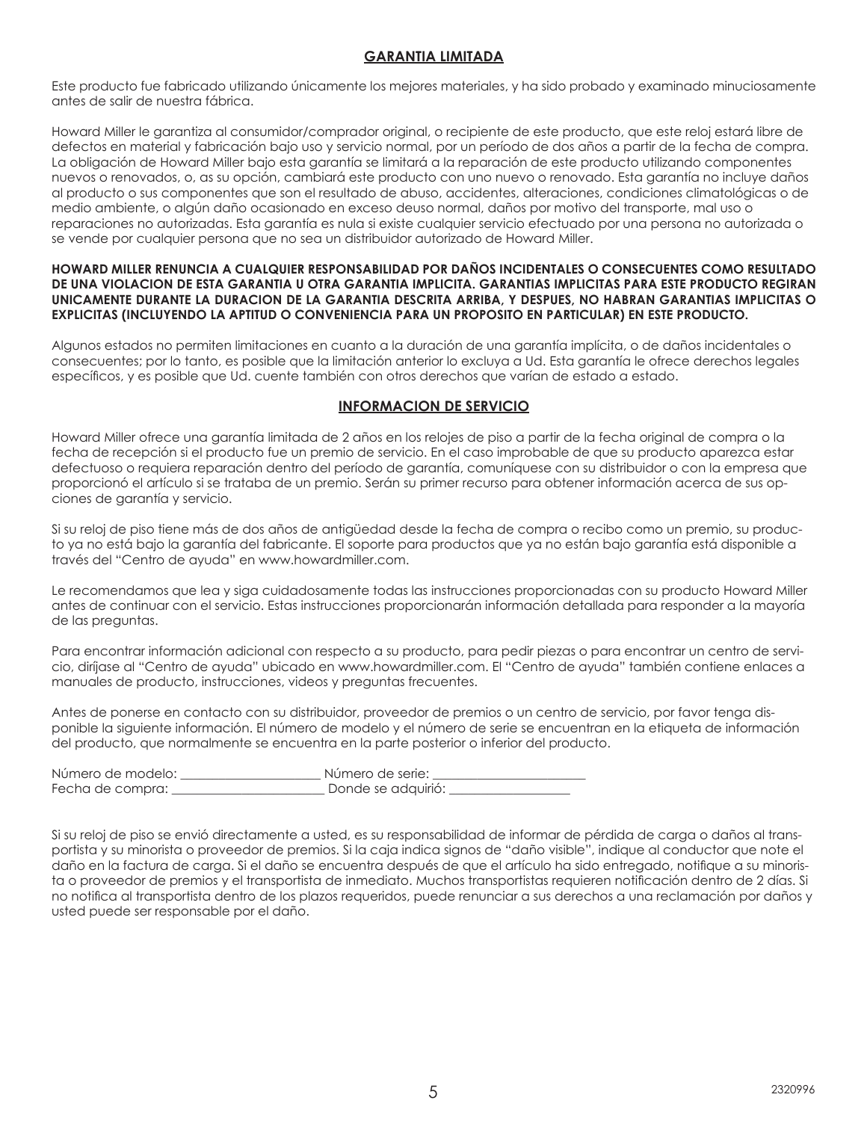# **GARANTIA LIMITADA**

Este producto fue fabricado utilizando únicamente los mejores materiales, y ha sido probado y examinado minuciosamente antes de salir de nuestra fábrica.

Howard Miller le garantiza al consumidor/comprador original, o recipiente de este producto, que este reloj estará libre de defectos en material y fabricación bajo uso y servicio normal, por un período de dos años a partir de la fecha de compra. La obligación de Howard Miller bajo esta garantía se limitará a la reparación de este producto utilizando componentes nuevos o renovados, o, as su opción, cambiará este producto con uno nuevo o renovado. Esta garantía no incluye daños al producto o sus componentes que son el resultado de abuso, accidentes, alteraciones, condiciones climatológicas o de medio ambiente, o algún daño ocasionado en exceso deuso normal, daños por motivo del transporte, mal uso o reparaciones no autorizadas. Esta garantía es nula si existe cualquier servicio efectuado por una persona no autorizada o se vende por cualquier persona que no sea un distribuidor autorizado de Howard Miller.

# **HOWARD MILLER RENUNCIA A CUALQUIER RESPONSABILIDAD POR DAÑOS INCIDENTALES O CONSECUENTES COMO RESULTADO DE UNA VIOLACION DE ESTA GARANTIA U OTRA GARANTIA IMPLICITA. GARANTIAS IMPLICITAS PARA ESTE PRODUCTO REGIRAN UNICAMENTE DURANTE LA DURACION DE LA GARANTIA DESCRITA ARRIBA, Y DESPUES, NO HABRAN GARANTIAS IMPLICITAS O EXPLICITAS (INCLUYENDO LA APTITUD O CONVENIENCIA PARA UN PROPOSITO EN PARTICULAR) EN ESTE PRODUCTO.**

Algunos estados no permiten limitaciones en cuanto a la duración de una garantía implícita, o de daños incidentales o consecuentes; por lo tanto, es posible que la limitación anterior lo excluya a Ud. Esta garantía le ofrece derechos legales específicos, y es posible que Ud. cuente también con otros derechos que varían de estado a estado.

# **INFORMACION DE SERVICIO**

Howard Miller ofrece una garantía limitada de 2 años en los relojes de piso a partir de la fecha original de compra o la fecha de recepción si el producto fue un premio de servicio. En el caso improbable de que su producto aparezca estar defectuoso o requiera reparación dentro del período de garantía, comuníquese con su distribuidor o con la empresa que proporcionó el artículo si se trataba de un premio. Serán su primer recurso para obtener información acerca de sus opciones de garantía y servicio.

Si su reloj de piso tiene más de dos años de antigüedad desde la fecha de compra o recibo como un premio, su producto ya no está bajo la garantía del fabricante. El soporte para productos que ya no están bajo garantía está disponible a través del "Centro de ayuda" en www.howardmiller.com.

Le recomendamos que lea y siga cuidadosamente todas las instrucciones proporcionadas con su producto Howard Miller antes de continuar con el servicio. Estas instrucciones proporcionarán información detallada para responder a la mayoría de las preguntas.

Para encontrar información adicional con respecto a su producto, para pedir piezas o para encontrar un centro de servicio, diríjase al "Centro de ayuda" ubicado en www.howardmiller.com. El "Centro de ayuda" también contiene enlaces a manuales de producto, instrucciones, videos y preguntas frecuentes.

Antes de ponerse en contacto con su distribuidor, proveedor de premios o un centro de servicio, por favor tenga disponible la siguiente información. El número de modelo y el número de serie se encuentran en la etiqueta de información del producto, que normalmente se encuentra en la parte posterior o inferior del producto.

| Número de modelo: | Número de serie:   |
|-------------------|--------------------|
| Fecha de compra:  | Donde se adquirió: |

Si su reloj de piso se envió directamente a usted, es su responsabilidad de informar de pérdida de carga o daños al transportista y su minorista o proveedor de premios. Si la caja indica signos de "daño visible", indique al conductor que note el daño en la factura de carga. Si el daño se encuentra después de que el artículo ha sido entregado, notifique a su minorista o proveedor de premios y el transportista de inmediato. Muchos transportistas requieren notificación dentro de 2 días. Si no notifica al transportista dentro de los plazos requeridos, puede renunciar a sus derechos a una reclamación por daños y usted puede ser responsable por el daño.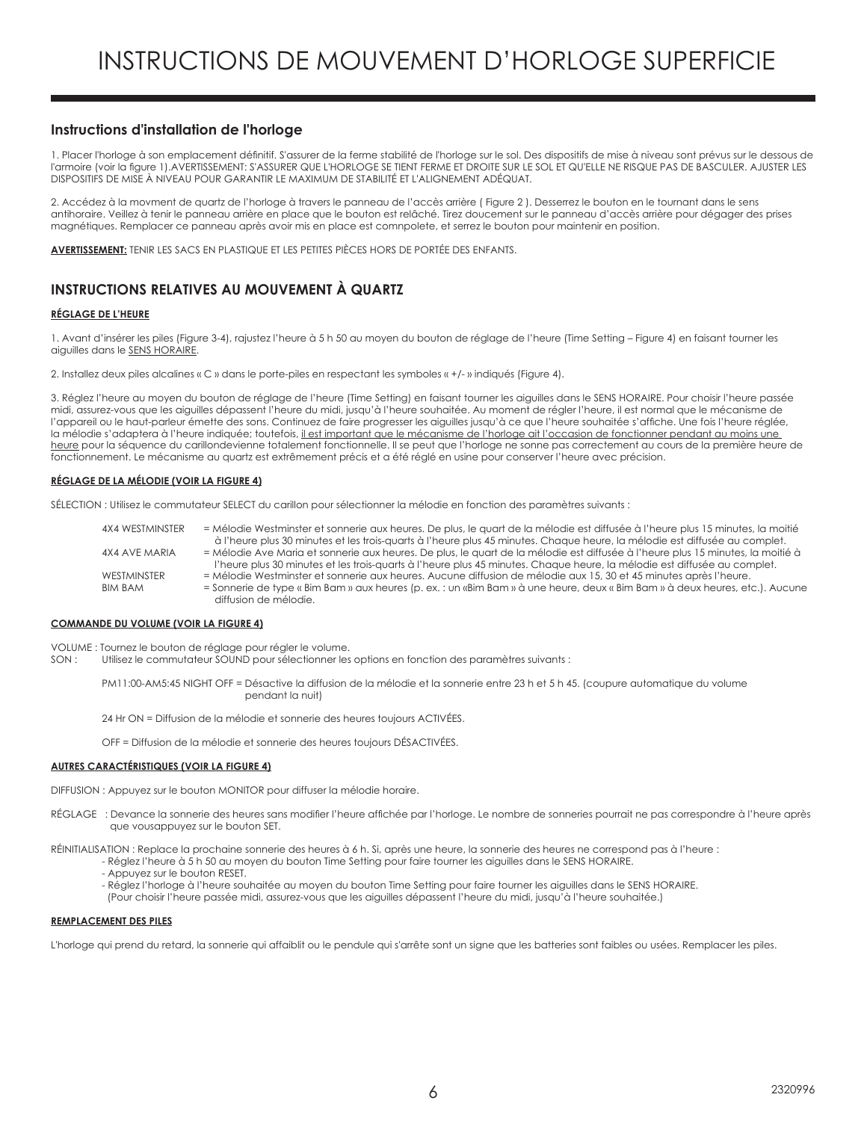# **Instructions d'installation de l'horloge**

1. Placer l'horloge à son emplacement définitif. S'assurer de la ferme stabilité de l'horloge sur le sol. Des dispositifs de mise à niveau sont prévus sur le dessous de l'armoire (voir la figure 1).AVERTISSEMENT: S'ASSURER QUE L'HORLOGE SE TIENT FERME ET DROITE SUR LE SOL ET QU'ELLE NE RISQUE PAS DE BASCULER. AJUSTER LES DISPOSITIFS DE MISE À NIVEAU POUR GARANTIR LE MAXIMUM DE STABILITÉ ET L'ALIGNEMENT ADÉQUAT.

2. Accédez à la movment de quartz de l'horloge à travers le panneau de l'accès arrière ( Figure 2 ). Desserrez le bouton en le tournant dans le sens antihoraire. Veillez à tenir le panneau arrière en place que le bouton est relâché. Tirez doucement sur le panneau d'accès arrière pour dégager des prises magnétiques. Remplacer ce panneau après avoir mis en place est comnpolete, et serrez le bouton pour maintenir en position.

**AVERTISSEMENT:** TENIR LES SACS EN PLASTIQUE ET LES PETITES PIÈCES HORS DE PORTÉE DES ENFANTS.

# **INSTRUCTIONS RELATIVES AU MOUVEMENT À QUARTZ**

#### **RÉGLAGE DE L'HEURE**

1. Avant d'insérer les piles (Figure 3-4), rajustez l'heure à 5 h 50 au moyen du bouton de réglage de l'heure (Time Setting – Figure 4) en faisant tourner les aiguilles dans le SENS HORAIRE.

2. Installez deux piles alcalines « C » dans le porte-piles en respectant les symboles « +/- » indiqués (Figure 4).

3. Réglez l'heure au moyen du bouton de réglage de l'heure (Time Setting) en faisant tourner les aiguilles dans le SENS HORAIRE. Pour choisir l'heure passée midi, assurez-vous que les aiguilles dépassent l'heure du midi, jusqu'à l'heure souhaitée. Au moment de régler l'heure, il est normal que le mécanisme de l'appareil ou le haut-parleur émette des sons. Continuez de faire progresser les aiguilles jusqu'à ce que l'heure souhaitée s'affiche. Une fois l'heure réglée, la mélodie s'adaptera à l'heure indiquée; toutefois, il est important que le mécanisme de l'horloge ait l'occasion de fonctionner pendant au moins une heure pour la séquence du carillondevienne totalement fonctionnelle. Il se peut que l'horloge ne sonne pas correctement au cours de la première heure de fonctionnement. Le mécanisme au quartz est extrêmement précis et a été réglé en usine pour conserver l'heure avec précision.

#### **RÉGLAGE DE LA MÉLODIE (VOIR LA FIGURE 4)**

SÉLECTION : Utilisez le commutateur SELECT du carillon pour sélectionner la mélodie en fonction des paramètres suivants :

| 4X4 WESTMINSTER | = Mélodie Westminster et sonnerie aux heures. De plus, le quart de la mélodie est diffusée à l'heure plus 15 minutes, la moitié |
|-----------------|---------------------------------------------------------------------------------------------------------------------------------|
|                 | à l'heure plus 30 minutes et les trois-quarts à l'heure plus 45 minutes. Chaque heure, la mélodie est diffusée au complet.      |
| 4X4 AVE MARIA   | = Mélodie Ave Maria et sonnerie aux heures. De plus, le quart de la mélodie est diffusée à l'heure plus 15 minutes, la moitié à |
|                 | l'heure plus 30 minutes et les trois-quarts à l'heure plus 45 minutes. Chaque heure, la mélodie est diffusée au complet.        |
| WESTMINSTER     | = Mélodie Westminster et sonnerie aux heures. Aucune diffusion de mélodie aux 15, 30 et 45 minutes après l'heure.               |
| <b>BIM BAM</b>  | = Sonnerie de type « Bim Bam » aux heures (p. ex. : un «Bim Bam » à une heure, deux « Bim Bam » à deux heures, etc.). Aucune    |
|                 | diffusion de mélodie.                                                                                                           |

#### **COMMANDE DU VOLUME (VOIR LA FIGURE 4)**

VOLUME : Tournez le bouton de réglage pour régler le volume.

SON : Utilisez le commutateur SOUND pour sélectionner les options en fonction des paramètres suivants :

PM11:00-AM5:45 NIGHT OFF = Désactive la diffusion de la mélodie et la sonnerie entre 23 h et 5 h 45. (coupure automatique du volume pendant la nuit)

24 Hr ON = Diffusion de la mélodie et sonnerie des heures toujours ACTIVÉES.

OFF = Diffusion de la mélodie et sonnerie des heures toujours DÉSACTIVÉES.

#### **AUTRES CARACTÉRISTIQUES (VOIR LA FIGURE 4)**

DIFFUSION : Appuyez sur le bouton MONITOR pour diffuser la mélodie horaire.

RÉGLAGE : Devance la sonnerie des heures sans modifier l'heure affichée par l'horloge. Le nombre de sonneries pourrait ne pas correspondre à l'heure après que vousappuyez sur le bouton SET.

RÉINITIALISATION : Replace la prochaine sonnerie des heures à 6 h. Si, après une heure, la sonnerie des heures ne correspond pas à l'heure :

- Réglez l'heure à 5 h 50 au moyen du bouton Time Setting pour faire tourner les aiguilles dans le SENS HORAIRE.
- Appuyez sur le bouton RESET.
- Réglez l'horloge à l'heure souhaitée au moyen du bouton Time Setting pour faire tourner les aiguilles dans le SENS HORAIRE.

(Pour choisir l'heure passée midi, assurez-vous que les aiguilles dépassent l'heure du midi, jusqu'à l'heure souhaitée.)

#### **REMPLACEMENT DES PILES**

L'horloge qui prend du retard, la sonnerie qui affaiblit ou le pendule qui s'arrête sont un signe que les batteries sont faibles ou usées. Remplacer les piles.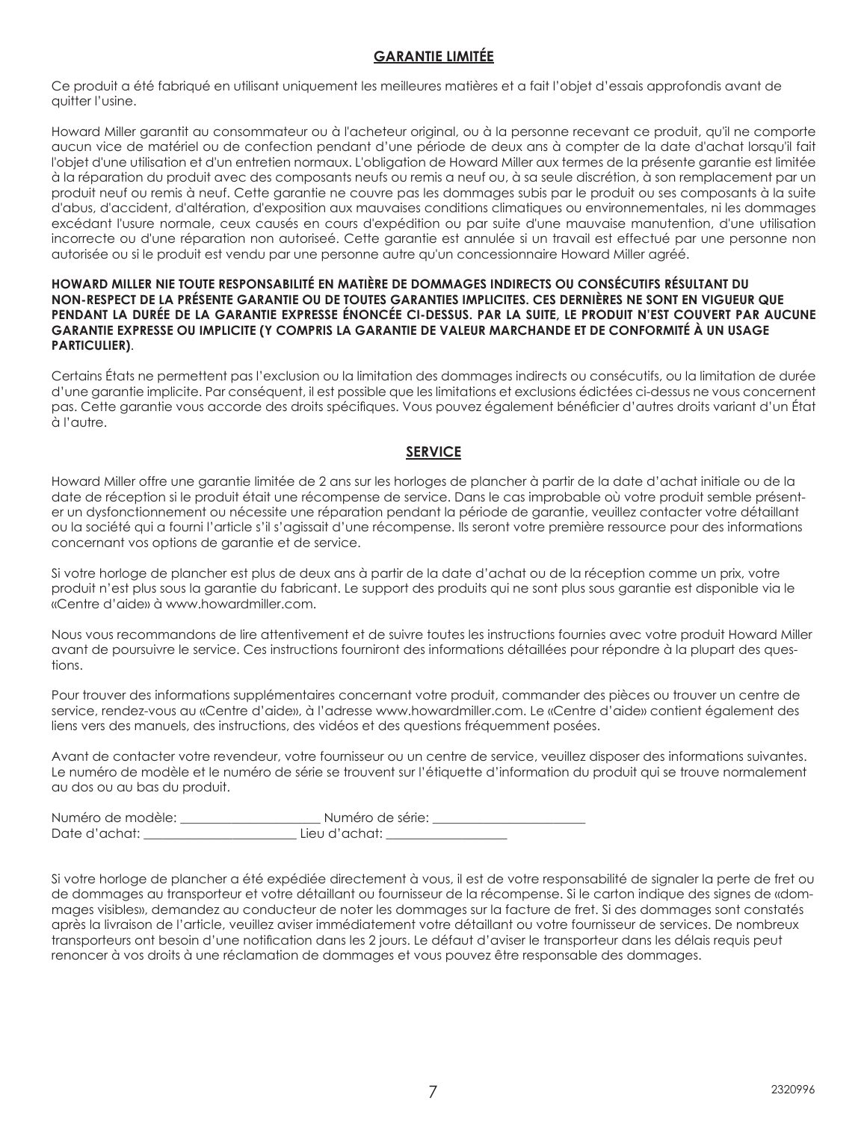# **GARANTIE LIMITÉE**

Ce produit a été fabriqué en utilisant uniquement les meilleures matières et a fait l'objet d'essais approfondis avant de quitter l'usine.

Howard Miller garantit au consommateur ou à l'acheteur original, ou à la personne recevant ce produit, qu'il ne comporte aucun vice de matériel ou de confection pendant d'une période de deux ans à compter de la date d'achat lorsqu'il fait l'objet d'une utilisation et d'un entretien normaux. L'obligation de Howard Miller aux termes de la présente garantie est limitée à la réparation du produit avec des composants neufs ou remis a neuf ou, à sa seule discrétion, à son remplacement par un produit neuf ou remis à neuf. Cette garantie ne couvre pas les dommages subis par le produit ou ses composants à la suite d'abus, d'accident, d'altération, d'exposition aux mauvaises conditions climatiques ou environnementales, ni les dommages excédant l'usure normale, ceux causés en cours d'expédition ou par suite d'une mauvaise manutention, d'une utilisation incorrecte ou d'une réparation non autoriseé. Cette garantie est annulée si un travail est effectué par une personne non autorisée ou si le produit est vendu par une personne autre qu'un concessionnaire Howard Miller agréé.

# **HOWARD MILLER NIE TOUTE RESPONSABILITÉ EN MATIÈRE DE DOMMAGES INDIRECTS OU CONSÉCUTIFS RÉSULTANT DU NON-RESPECT DE LA PRÉSENTE GARANTIE OU DE TOUTES GARANTIES IMPLICITES. CES DERNIÈRES NE SONT EN VIGUEUR QUE PENDANT LA DURÉE DE LA GARANTIE EXPRESSE ÉNONCÉE CI-DESSUS. PAR LA SUITE, LE PRODUIT N'EST COUVERT PAR AUCUNE GARANTIE EXPRESSE OU IMPLICITE (Y COMPRIS LA GARANTIE DE VALEUR MARCHANDE ET DE CONFORMITÉ À UN USAGE PARTICULIER)**.

Certains États ne permettent pas l'exclusion ou la limitation des dommages indirects ou consécutifs, ou la limitation de durée d'une garantie implicite. Par conséquent, il est possible que les limitations et exclusions édictées ci-dessus ne vous concernent pas. Cette garantie vous accorde des droits spécifiques. Vous pouvez également bénéficier d'autres droits variant d'un État à l'autre.

# **SERVICE**

Howard Miller offre une garantie limitée de 2 ans sur les horloges de plancher à partir de la date d'achat initiale ou de la date de réception si le produit était une récompense de service. Dans le cas improbable où votre produit semble présenter un dysfonctionnement ou nécessite une réparation pendant la période de garantie, veuillez contacter votre détaillant ou la société qui a fourni l'article s'il s'agissait d'une récompense. Ils seront votre première ressource pour des informations concernant vos options de garantie et de service.

Si votre horloge de plancher est plus de deux ans à partir de la date d'achat ou de la réception comme un prix, votre produit n'est plus sous la garantie du fabricant. Le support des produits qui ne sont plus sous garantie est disponible via le «Centre d'aide» à www.howardmiller.com.

Nous vous recommandons de lire attentivement et de suivre toutes les instructions fournies avec votre produit Howard Miller avant de poursuivre le service. Ces instructions fourniront des informations détaillées pour répondre à la plupart des questions.

Pour trouver des informations supplémentaires concernant votre produit, commander des pièces ou trouver un centre de service, rendez-vous au «Centre d'aide», à l'adresse www.howardmiller.com. Le «Centre d'aide» contient également des liens vers des manuels, des instructions, des vidéos et des questions fréquemment posées.

Avant de contacter votre revendeur, votre fournisseur ou un centre de service, veuillez disposer des informations suivantes. Le numéro de modèle et le numéro de série se trouvent sur l'étiquette d'information du produit qui se trouve normalement au dos ou au bas du produit.

| Numéro de modèle: | Numéro de série: |
|-------------------|------------------|
| Date d'achat:     | Lieu d'achat:    |

Si votre horloge de plancher a été expédiée directement à vous, il est de votre responsabilité de signaler la perte de fret ou de dommages au transporteur et votre détaillant ou fournisseur de la récompense. Si le carton indique des signes de «dommages visibles», demandez au conducteur de noter les dommages sur la facture de fret. Si des dommages sont constatés après la livraison de l'article, veuillez aviser immédiatement votre détaillant ou votre fournisseur de services. De nombreux transporteurs ont besoin d'une notification dans les 2 jours. Le défaut d'aviser le transporteur dans les délais requis peut renoncer à vos droits à une réclamation de dommages et vous pouvez être responsable des dommages.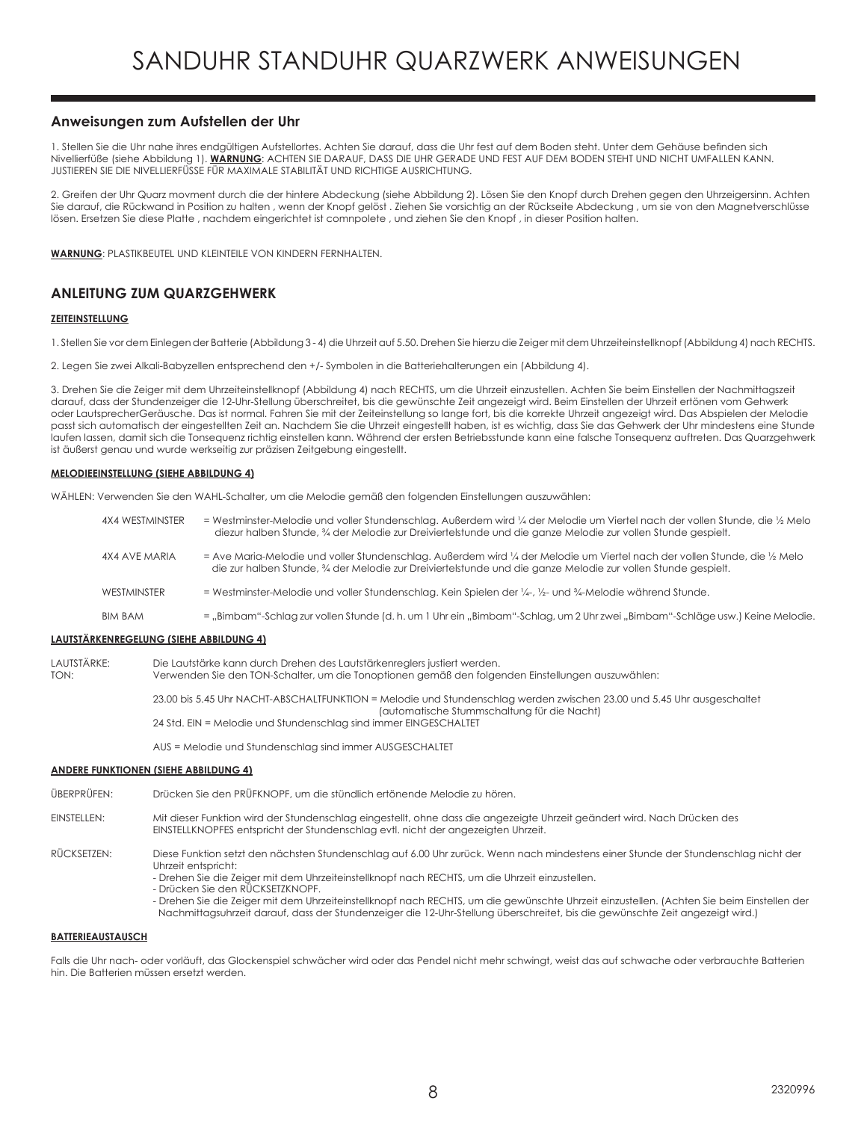# **Anweisungen zum Aufstellen der Uhr**

1. Stellen Sie die Uhr nahe ihres endgültigen Aufstellortes. Achten Sie darauf, dass die Uhr fest auf dem Boden steht. Unter dem Gehäuse befinden sich Nivellierfüße (siehe Abbildung 1). **WARNUNG**: ACHTEN SIE DARAUF, DASS DIE UHR GERADE UND FEST AUF DEM BODEN STEHT UND NICHT UMFALLEN KANN. JUSTIEREN SIE DIE NIVELLIERFÜSSE FÜR MAXIMALE STABILITÄT UND RICHTIGE AUSRICHTUNG.

2. Greifen der Uhr Quarz movment durch die der hintere Abdeckung (siehe Abbildung 2). Lösen Sie den Knopf durch Drehen gegen den Uhrzeigersinn. Achten Sie darauf, die Rückwand in Position zu halten , wenn der Knopf gelöst . Ziehen Sie vorsichtig an der Rückseite Abdeckung , um sie von den Magnetverschlüsse lösen. Ersetzen Sie diese Platte , nachdem eingerichtet ist comnpolete , und ziehen Sie den Knopf , in dieser Position halten.

**WARNUNG**: PLASTIKBEUTEL UND KLEINTEILE VON KINDERN FERNHALTEN.

# **ANLEITUNG ZUM QUARZGEHWERK**

#### **ZEITEINSTELLUNG**

1. Stellen Sie vor dem Einlegen der Batterie (Abbildung 3 - 4) die Uhrzeit auf 5.50. Drehen Sie hierzu die Zeiger mit dem Uhrzeiteinstellknopf (Abbildung 4) nach RECHTS.

2. Legen Sie zwei Alkali-Babyzellen entsprechend den +/- Symbolen in die Batteriehalterungen ein (Abbildung 4).

3. Drehen Sie die Zeiger mit dem Uhrzeiteinstellknopf (Abbildung 4) nach RECHTS, um die Uhrzeit einzustellen. Achten Sie beim Einstellen der Nachmittagszeit darauf, dass der Stundenzeiger die 12-Uhr-Stellung überschreitet, bis die gewünschte Zeit angezeigt wird. Beim Einstellen der Uhrzeit ertönen vom Gehwerk oder LautsprecherGeräusche. Das ist normal. Fahren Sie mit der Zeiteinstellung so lange fort, bis die korrekte Uhrzeit angezeigt wird. Das Abspielen der Melodie passt sich automatisch der eingestellten Zeit an. Nachdem Sie die Uhrzeit eingestellt haben, ist es wichtig, dass Sie das Gehwerk der Uhr mindestens eine Stunde laufen lassen, damit sich die Tonsequenz richtig einstellen kann. Während der ersten Betriebsstunde kann eine falsche Tonsequenz auftreten. Das Quarzgehwerk ist äußerst genau und wurde werkseitig zur präzisen Zeitgebung eingestellt.

#### **MELODIEEINSTELLUNG (SIEHE ABBILDUNG 4)**

WÄHLEN: Verwenden Sie den WAHL-Schalter, um die Melodie gemäß den folgenden Einstellungen auszuwählen:

| 4X4 WESTMINSTER | = Westminster-Melodie und voller Stundenschlag. Außerdem wird ¼ der Melodie um Viertel nach der vollen Stunde, die ¼ Melo<br>diezur halben Stunde, 3/4 der Melodie zur Dreiviertelstunde und die ganze Melodie zur vollen Stunde gespielt. |
|-----------------|--------------------------------------------------------------------------------------------------------------------------------------------------------------------------------------------------------------------------------------------|
| 4X4 AVE MARIA   | = Ave Maria-Melodie und voller Stundenschlag, Außerdem wird ¼ der Melodie um Viertel nach der vollen Stunde, die ½ Melo<br>die zur halben Stunde, 34 der Melodie zur Dreiviertelstunde und die ganze Melodie zur vollen Stunde gespielt.   |
| WESTMINSTER     | = Westminster-Melodie und voller Stundenschlag. Kein Spielen der 1/4-, 1/2- und 3/4-Melodie während Stunde.                                                                                                                                |
| <b>BIM BAM</b>  | = "Bimbam"-Schlag zur vollen Stunde (d. h. um 1 Uhr ein "Bimbam"-Schlag, um 2 Uhr zwei "Bimbam"-Schläge usw.) Keine Melodie.                                                                                                               |

#### **LAUTSTÄRKENREGELUNG (SIEHE ABBILDUNG 4)**

LAUTSTÄRKE: Die Lautstärke kann durch Drehen des Lautstärkenreglers justiert werden.<br>TON: Verwenden Sie den TON-Schalter, um die Tonoptionen gemäß den folge Verwenden Sie den TON-Schalter, um die Tonoptionen gemäß den folgenden Einstellungen auszuwählen: 23.00 bis 5.45 Uhr NACHT-ABSCHALTFUNKTION = Melodie und Stundenschlag werden zwischen 23.00 und 5.45 Uhr ausgeschaltet (automatische Stummschaltung für die Nacht) 24 Std. EIN = Melodie und Stundenschlag sind immer EINGESCHALTET

AUS = Melodie und Stundenschlag sind immer AUSGESCHALTET

#### **ANDERE FUNKTIONEN (SIEHE ABBILDUNG 4)**

ÜBERPRÜFEN: Drücken Sie den PRÜFKNOPF, um die stündlich ertönende Melodie zu hören.

EINSTELLEN: Mit dieser Funktion wird der Stundenschlag eingestellt, ohne dass die angezeigte Uhrzeit geändert wird. Nach Drücken des EINSTELLKNOPFES entspricht der Stundenschlag evtl. nicht der angezeigten Uhrzeit.

RÜCKSETZEN: Diese Funktion setzt den nächsten Stundenschlag auf 6.00 Uhr zurück. Wenn nach mindestens einer Stunde der Stundenschlag nicht der Uhrzeit entspricht:

- Drehen Sie die Zeiger mit dem Uhrzeiteinstellknopf nach RECHTS, um die Uhrzeit einzustellen.

- Drücken Sie den RÜCKSETZKNOPF.

- Drehen Sie die Zeiger mit dem Uhrzeiteinstellknopf nach RECHTS, um die gewünschte Uhrzeit einzustellen. (Achten Sie beim Einstellen der Nachmittagsuhrzeit darauf, dass der Stundenzeiger die 12-Uhr-Stellung überschreitet, bis die gewünschte Zeit angezeigt wird.)

#### **BATTERIEAUSTAUSCH**

Falls die Uhr nach- oder vorläuft, das Glockenspiel schwächer wird oder das Pendel nicht mehr schwingt, weist das auf schwache oder verbrauchte Batterien hin. Die Batterien müssen ersetzt werden.